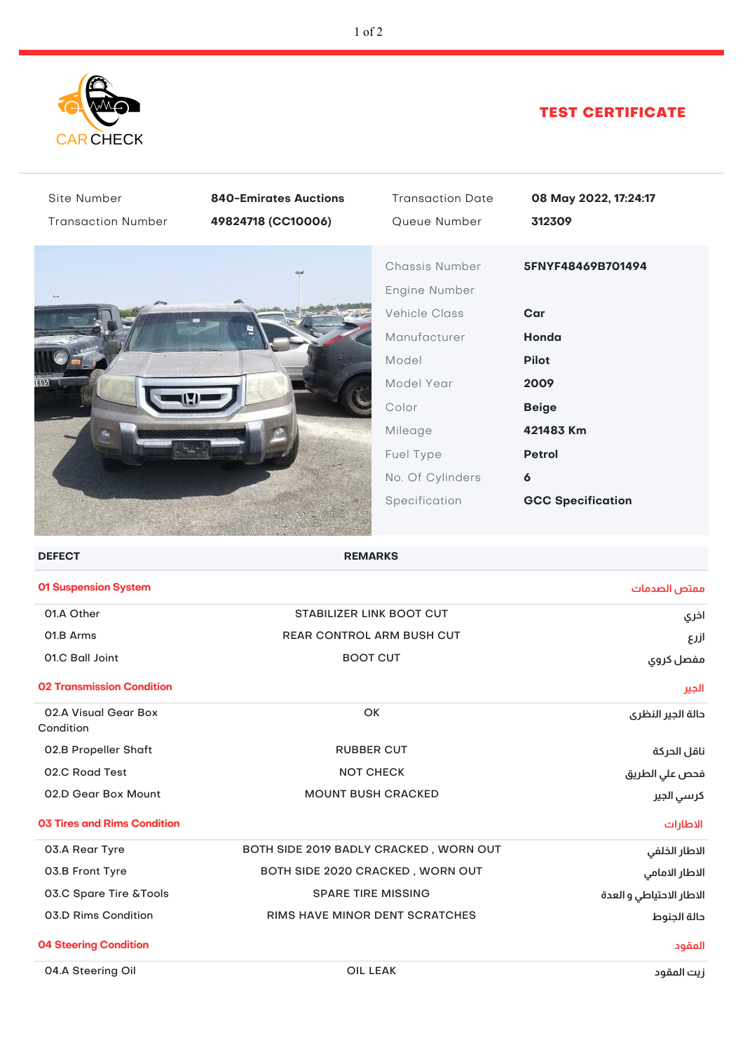

## TEST CERTIFICATE

| Site Number<br><b>Transaction Number</b> | <b>840-Emirates Auctions</b><br>49824718 (CC10006) | <b>Transaction Date</b><br>Queue Number                                                                                                                              | 08 May 2022, 17:24:17<br>312309                                                                                                          |
|------------------------------------------|----------------------------------------------------|----------------------------------------------------------------------------------------------------------------------------------------------------------------------|------------------------------------------------------------------------------------------------------------------------------------------|
|                                          |                                                    | Chassis Number<br>Engine Number<br><b>Vehicle Class</b><br>Manufacturer<br>Model<br>Model Year<br>Color<br>Mileage<br>Fuel Type<br>No. Of Cylinders<br>Specification | 5FNYF48469B701494<br>Car<br>Honda<br><b>Pilot</b><br>2009<br><b>Beige</b><br>421483 Km<br><b>Petrol</b><br>6<br><b>GCC Specification</b> |
| <b>DEFECT</b>                            | <b>REMARKS</b>                                     |                                                                                                                                                                      |                                                                                                                                          |
| 01 Suspension System                     |                                                    |                                                                                                                                                                      | ممتص الصدمات                                                                                                                             |
| 01.A Other                               | <b>STABILIZER LINK BOOT CUT</b>                    |                                                                                                                                                                      | اخري                                                                                                                                     |
| 01.B Arms                                | <b>REAR CONTROL ARM BUSH CUT</b>                   |                                                                                                                                                                      | ازرع                                                                                                                                     |
| 01.C Ball Joint                          |                                                    | <b>BOOT CUT</b>                                                                                                                                                      |                                                                                                                                          |
| <b>02 Transmission Condition</b>         |                                                    |                                                                                                                                                                      | الجير                                                                                                                                    |
| 02.A Visual Gear Box<br>Condition        | OK                                                 |                                                                                                                                                                      | حالة الجير النظرى                                                                                                                        |
| 02.B Propeller Shaft                     | <b>RUBBER CUT</b>                                  |                                                                                                                                                                      | ناقل الحركة                                                                                                                              |
| 02.C Road Test                           | <b>NOT CHECK</b>                                   |                                                                                                                                                                      | فحص علي الطريق                                                                                                                           |
| 02.D Gear Box Mount                      | <b>MOUNT BUSH CRACKED</b>                          |                                                                                                                                                                      | كرسي الجير                                                                                                                               |
| <b>03 Tires and Rims Condition</b>       |                                                    |                                                                                                                                                                      | الاطارات                                                                                                                                 |
| 03.A Rear Tyre                           | BOTH SIDE 2019 BADLY CRACKED, WORN OUT             |                                                                                                                                                                      | الاطار الخلفي                                                                                                                            |
| 03.B Front Tyre                          |                                                    | BOTH SIDE 2020 CRACKED, WORN OUT                                                                                                                                     |                                                                                                                                          |
| 03.C Spare Tire & Tools                  | <b>SPARE TIRE MISSING</b>                          |                                                                                                                                                                      | الاطار الاحتياطي و العدة                                                                                                                 |
| 03.D Rims Condition                      | RIMS HAVE MINOR DENT SCRATCHES                     |                                                                                                                                                                      | حالة الجنوط                                                                                                                              |
| <b>04 Steering Condition</b>             |                                                    |                                                                                                                                                                      | المقود                                                                                                                                   |
| 04.A Steering Oil                        |                                                    | OIL LEAK                                                                                                                                                             | زيت المقود                                                                                                                               |